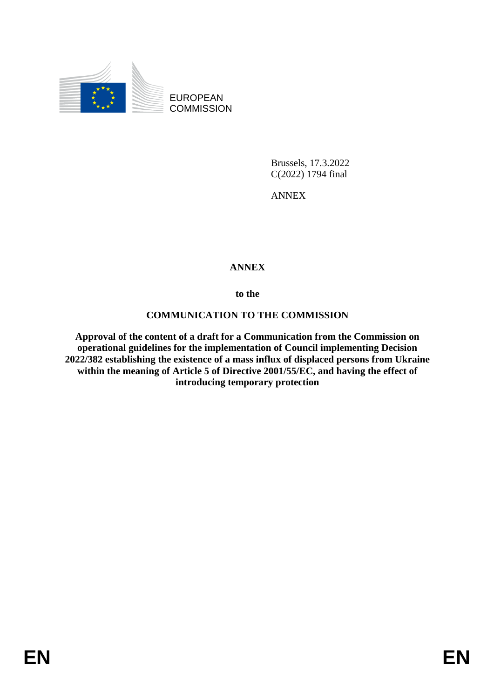

EUROPEAN **COMMISSION** 

> Brussels, 17.3.2022 C(2022) 1794 final

ANNEX

# **ANNEX**

**to the**

# **COMMUNICATION TO THE COMMISSION**

**Approval of the content of a draft for a Communication from the Commission on operational guidelines for the implementation of Council implementing Decision 2022/382 establishing the existence of a mass influx of displaced persons from Ukraine within the meaning of Article 5 of Directive 2001/55/EC, and having the effect of introducing temporary protection**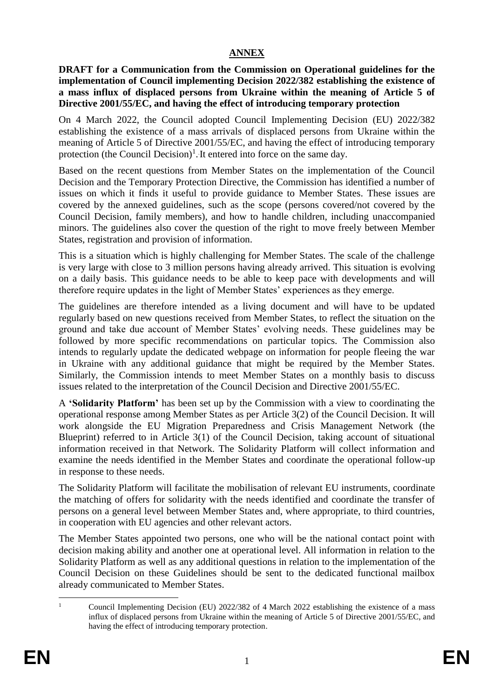# **ANNEX**

**DRAFT for a Communication from the Commission on Operational guidelines for the implementation of Council implementing Decision 2022/382 establishing the existence of a mass influx of displaced persons from Ukraine within the meaning of Article 5 of Directive 2001/55/EC, and having the effect of introducing temporary protection**

On 4 March 2022, the Council adopted Council Implementing Decision (EU) 2022/382 establishing the existence of a mass arrivals of displaced persons from Ukraine within the meaning of Article 5 of Directive 2001/55/EC, and having the effect of introducing temporary protection (the Council Decision)<sup>1</sup>. It entered into force on the same day.

Based on the recent questions from Member States on the implementation of the Council Decision and the Temporary Protection Directive, the Commission has identified a number of issues on which it finds it useful to provide guidance to Member States. These issues are covered by the annexed guidelines, such as the scope (persons covered/not covered by the Council Decision, family members), and how to handle children, including unaccompanied minors. The guidelines also cover the question of the right to move freely between Member States, registration and provision of information.

This is a situation which is highly challenging for Member States. The scale of the challenge is very large with close to 3 million persons having already arrived. This situation is evolving on a daily basis. This guidance needs to be able to keep pace with developments and will therefore require updates in the light of Member States' experiences as they emerge.

The guidelines are therefore intended as a living document and will have to be updated regularly based on new questions received from Member States, to reflect the situation on the ground and take due account of Member States' evolving needs. These guidelines may be followed by more specific recommendations on particular topics. The Commission also intends to regularly update the dedicated webpage on information for people fleeing the war in Ukraine with any additional guidance that might be required by the Member States. Similarly, the Commission intends to meet Member States on a monthly basis to discuss issues related to the interpretation of the Council Decision and Directive 2001/55/EC.

A **'Solidarity Platform'** has been set up by the Commission with a view to coordinating the operational response among Member States as per Article 3(2) of the Council Decision. It will work alongside the EU Migration Preparedness and Crisis Management Network (the Blueprint) referred to in Article 3(1) of the Council Decision, taking account of situational information received in that Network. The Solidarity Platform will collect information and examine the needs identified in the Member States and coordinate the operational follow-up in response to these needs.

The Solidarity Platform will facilitate the mobilisation of relevant EU instruments, coordinate the matching of offers for solidarity with the needs identified and coordinate the transfer of persons on a general level between Member States and, where appropriate, to third countries, in cooperation with EU agencies and other relevant actors.

The Member States appointed two persons, one who will be the national contact point with decision making ability and another one at operational level. All information in relation to the Solidarity Platform as well as any additional questions in relation to the implementation of the Council Decision on these Guidelines should be sent to the dedicated functional mailbox already communicated to Member States.

1

<sup>1</sup> Council Implementing Decision (EU) 2022/382 of 4 March 2022 establishing the existence of a mass influx of displaced persons from Ukraine within the meaning of Article 5 of Directive 2001/55/EC, and having the effect of introducing temporary protection.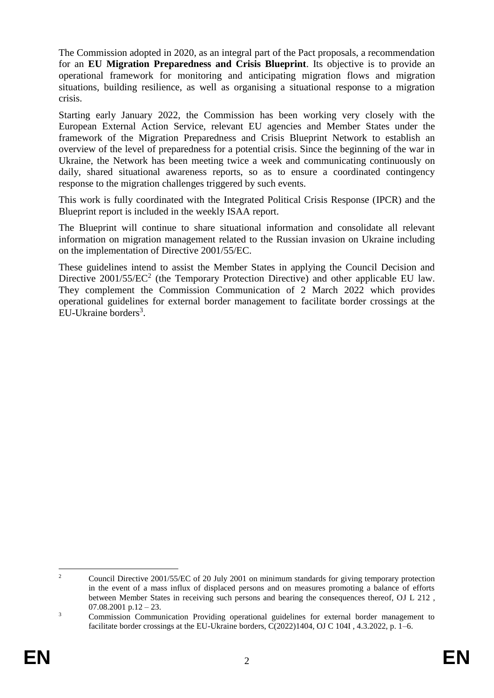The Commission adopted in 2020, as an integral part of the Pact proposals, a recommendation for an **EU Migration Preparedness and Crisis Blueprint**. Its objective is to provide an operational framework for monitoring and anticipating migration flows and migration situations, building resilience, as well as organising a situational response to a migration crisis.

Starting early January 2022, the Commission has been working very closely with the European External Action Service, relevant EU agencies and Member States under the framework of the Migration Preparedness and Crisis Blueprint Network to establish an overview of the level of preparedness for a potential crisis. Since the beginning of the war in Ukraine, the Network has been meeting twice a week and communicating continuously on daily, shared situational awareness reports, so as to ensure a coordinated contingency response to the migration challenges triggered by such events.

This work is fully coordinated with the Integrated Political Crisis Response (IPCR) and the Blueprint report is included in the weekly ISAA report.

The Blueprint will continue to share situational information and consolidate all relevant information on migration management related to the Russian invasion on Ukraine including on the implementation of Directive 2001/55/EC.

These guidelines intend to assist the Member States in applying the Council Decision and Directive  $2001/55/EC^2$  (the Temporary Protection Directive) and other applicable EU law. They complement the Commission Communication of 2 March 2022 which provides operational guidelines for external border management to facilitate border crossings at the EU-Ukraine borders<sup>3</sup>.

<sup>1</sup> <sup>2</sup> Council Directive 2001/55/EC of 20 July 2001 on minimum standards for giving temporary protection in the event of a mass influx of displaced persons and on measures promoting a balance of efforts between Member States in receiving such persons and bearing the consequences thereof, OJ L 212 ,  $07.08.2001$  p.12 – 23.

<sup>&</sup>lt;sup>3</sup> Commission Communication Providing operational guidelines for external border management to facilitate border crossings at the EU-Ukraine borders, C(2022)1404, OJ C 104I , 4.3.2022, p. 1–6.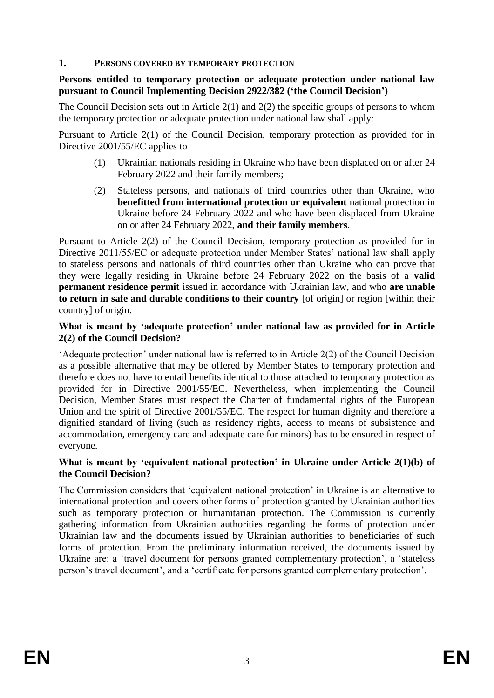#### **1. PERSONS COVERED BY TEMPORARY PROTECTION**

#### **Persons entitled to temporary protection or adequate protection under national law pursuant to Council Implementing Decision 2922/382 ('the Council Decision')**

The Council Decision sets out in Article 2(1) and 2(2) the specific groups of persons to whom the temporary protection or adequate protection under national law shall apply:

Pursuant to Article 2(1) of the Council Decision, temporary protection as provided for in Directive 2001/55/EC applies to

- (1) Ukrainian nationals residing in Ukraine who have been displaced on or after 24 February 2022 and their family members;
- (2) Stateless persons, and nationals of third countries other than Ukraine, who **benefitted from international protection or equivalent** national protection in Ukraine before 24 February 2022 and who have been displaced from Ukraine on or after 24 February 2022, **and their family members**.

Pursuant to Article 2(2) of the Council Decision, temporary protection as provided for in Directive 2011/55/EC or adequate protection under Member States' national law shall apply to stateless persons and nationals of third countries other than Ukraine who can prove that they were legally residing in Ukraine before 24 February 2022 on the basis of a **valid permanent residence permit** issued in accordance with Ukrainian law, and who **are unable to return in safe and durable conditions to their country** [of origin] or region [within their country] of origin.

#### **What is meant by 'adequate protection' under national law as provided for in Article 2(2) of the Council Decision?**

'Adequate protection' under national law is referred to in Article 2(2) of the Council Decision as a possible alternative that may be offered by Member States to temporary protection and therefore does not have to entail benefits identical to those attached to temporary protection as provided for in Directive 2001/55/EC. Nevertheless, when implementing the Council Decision, Member States must respect the Charter of fundamental rights of the European Union and the spirit of Directive 2001/55/EC. The respect for human dignity and therefore a dignified standard of living (such as residency rights, access to means of subsistence and accommodation, emergency care and adequate care for minors) has to be ensured in respect of everyone.

### **What is meant by 'equivalent national protection' in Ukraine under Article 2(1)(b) of the Council Decision?**

The Commission considers that 'equivalent national protection' in Ukraine is an alternative to international protection and covers other forms of protection granted by Ukrainian authorities such as temporary protection or humanitarian protection. The Commission is currently gathering information from Ukrainian authorities regarding the forms of protection under Ukrainian law and the documents issued by Ukrainian authorities to beneficiaries of such forms of protection. From the preliminary information received, the documents issued by Ukraine are: a 'travel document for persons granted complementary protection', a 'stateless person's travel document', and a 'certificate for persons granted complementary protection'.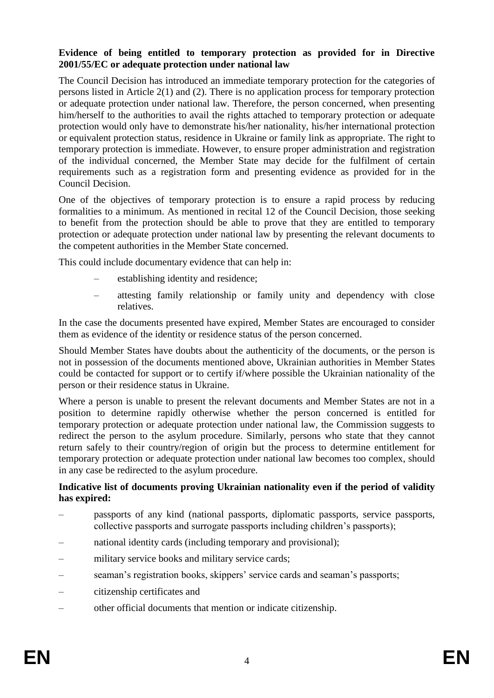### **Evidence of being entitled to temporary protection as provided for in Directive 2001/55/EC or adequate protection under national law**

The Council Decision has introduced an immediate temporary protection for the categories of persons listed in Article 2(1) and (2). There is no application process for temporary protection or adequate protection under national law. Therefore, the person concerned, when presenting him/herself to the authorities to avail the rights attached to temporary protection or adequate protection would only have to demonstrate his/her nationality, his/her international protection or equivalent protection status, residence in Ukraine or family link as appropriate. The right to temporary protection is immediate. However, to ensure proper administration and registration of the individual concerned, the Member State may decide for the fulfilment of certain requirements such as a registration form and presenting evidence as provided for in the Council Decision.

One of the objectives of temporary protection is to ensure a rapid process by reducing formalities to a minimum. As mentioned in recital 12 of the Council Decision, those seeking to benefit from the protection should be able to prove that they are entitled to temporary protection or adequate protection under national law by presenting the relevant documents to the competent authorities in the Member State concerned.

This could include documentary evidence that can help in:

- establishing identity and residence;
- attesting family relationship or family unity and dependency with close relatives.

In the case the documents presented have expired, Member States are encouraged to consider them as evidence of the identity or residence status of the person concerned.

Should Member States have doubts about the authenticity of the documents, or the person is not in possession of the documents mentioned above, Ukrainian authorities in Member States could be contacted for support or to certify if/where possible the Ukrainian nationality of the person or their residence status in Ukraine.

Where a person is unable to present the relevant documents and Member States are not in a position to determine rapidly otherwise whether the person concerned is entitled for temporary protection or adequate protection under national law, the Commission suggests to redirect the person to the asylum procedure. Similarly, persons who state that they cannot return safely to their country/region of origin but the process to determine entitlement for temporary protection or adequate protection under national law becomes too complex, should in any case be redirected to the asylum procedure.

### **Indicative list of documents proving Ukrainian nationality even if the period of validity has expired:**

- passports of any kind (national passports, diplomatic passports, service passports, collective passports and surrogate passports including children's passports);
- national identity cards (including temporary and provisional);
- military service books and military service cards;
- seaman's registration books, skippers' service cards and seaman's passports;
- citizenship certificates and
- other official documents that mention or indicate citizenship.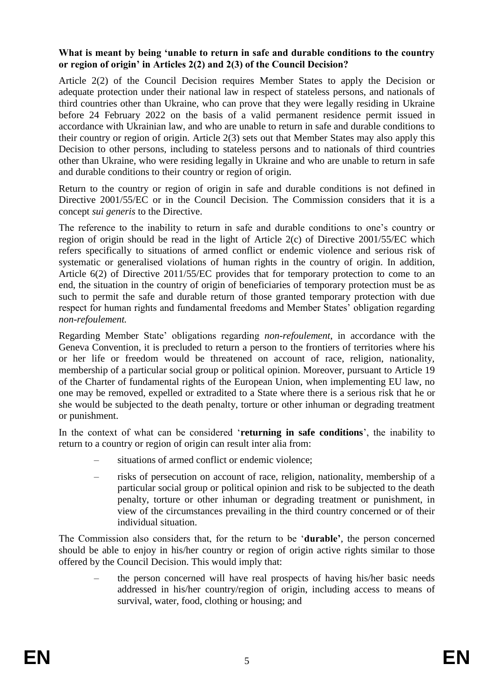### **What is meant by being 'unable to return in safe and durable conditions to the country or region of origin' in Articles 2(2) and 2(3) of the Council Decision?**

Article 2(2) of the Council Decision requires Member States to apply the Decision or adequate protection under their national law in respect of stateless persons, and nationals of third countries other than Ukraine, who can prove that they were legally residing in Ukraine before 24 February 2022 on the basis of a valid permanent residence permit issued in accordance with Ukrainian law, and who are unable to return in safe and durable conditions to their country or region of origin. Article 2(3) sets out that Member States may also apply this Decision to other persons, including to stateless persons and to nationals of third countries other than Ukraine, who were residing legally in Ukraine and who are unable to return in safe and durable conditions to their country or region of origin.

Return to the country or region of origin in safe and durable conditions is not defined in Directive 2001/55/EC or in the Council Decision. The Commission considers that it is a concept *sui generis* to the Directive.

The reference to the inability to return in safe and durable conditions to one's country or region of origin should be read in the light of Article 2(c) of Directive 2001/55/EC which refers specifically to situations of armed conflict or endemic violence and serious risk of systematic or generalised violations of human rights in the country of origin. In addition, Article 6(2) of Directive 2011/55/EC provides that for temporary protection to come to an end, the situation in the country of origin of beneficiaries of temporary protection must be as such to permit the safe and durable return of those granted temporary protection with due respect for human rights and fundamental freedoms and Member States' obligation regarding *non-refoulement.* 

Regarding Member State' obligations regarding *non-refoulement*, in accordance with the Geneva Convention, it is precluded to return a person to the frontiers of territories where his or her life or freedom would be threatened on account of race, religion, nationality, membership of a particular social group or political opinion. Moreover, pursuant to Article 19 of the Charter of fundamental rights of the European Union, when implementing EU law, no one may be removed, expelled or extradited to a State where there is a serious risk that he or she would be subjected to the death penalty, torture or other inhuman or degrading treatment or punishment.

In the context of what can be considered '**returning in safe conditions**', the inability to return to a country or region of origin can result inter alia from:

- situations of armed conflict or endemic violence;
- risks of persecution on account of race, religion, nationality, membership of a particular social group or political opinion and risk to be subjected to the death penalty, torture or other inhuman or degrading treatment or punishment, in view of the circumstances prevailing in the third country concerned or of their individual situation.

The Commission also considers that, for the return to be '**durable'**, the person concerned should be able to enjoy in his/her country or region of origin active rights similar to those offered by the Council Decision. This would imply that:

– the person concerned will have real prospects of having his/her basic needs addressed in his/her country/region of origin, including access to means of survival, water, food, clothing or housing; and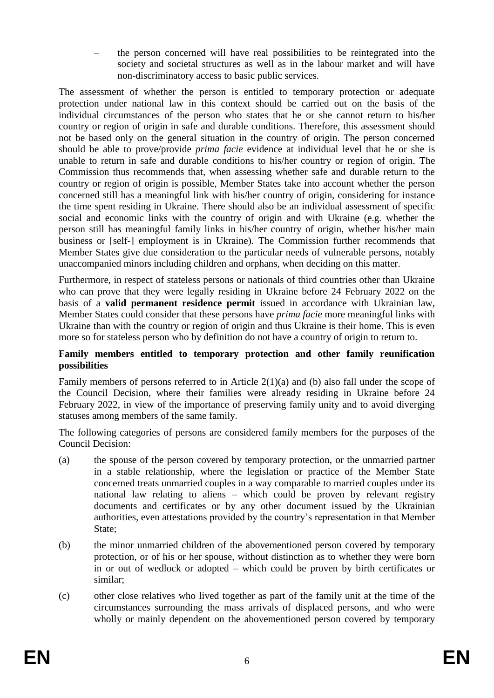– the person concerned will have real possibilities to be reintegrated into the society and societal structures as well as in the labour market and will have non-discriminatory access to basic public services.

The assessment of whether the person is entitled to temporary protection or adequate protection under national law in this context should be carried out on the basis of the individual circumstances of the person who states that he or she cannot return to his/her country or region of origin in safe and durable conditions. Therefore, this assessment should not be based only on the general situation in the country of origin. The person concerned should be able to prove/provide *prima facie* evidence at individual level that he or she is unable to return in safe and durable conditions to his/her country or region of origin. The Commission thus recommends that, when assessing whether safe and durable return to the country or region of origin is possible, Member States take into account whether the person concerned still has a meaningful link with his/her country of origin, considering for instance the time spent residing in Ukraine. There should also be an individual assessment of specific social and economic links with the country of origin and with Ukraine (e.g. whether the person still has meaningful family links in his/her country of origin, whether his/her main business or [self-] employment is in Ukraine). The Commission further recommends that Member States give due consideration to the particular needs of vulnerable persons, notably unaccompanied minors including children and orphans, when deciding on this matter.

Furthermore, in respect of stateless persons or nationals of third countries other than Ukraine who can prove that they were legally residing in Ukraine before 24 February 2022 on the basis of a **valid permanent residence permit** issued in accordance with Ukrainian law, Member States could consider that these persons have *prima facie* more meaningful links with Ukraine than with the country or region of origin and thus Ukraine is their home. This is even more so for stateless person who by definition do not have a country of origin to return to.

### **Family members entitled to temporary protection and other family reunification possibilities**

Family members of persons referred to in Article 2(1)(a) and (b) also fall under the scope of the Council Decision, where their families were already residing in Ukraine before 24 February 2022, in view of the importance of preserving family unity and to avoid diverging statuses among members of the same family.

The following categories of persons are considered family members for the purposes of the Council Decision:

- (a) the spouse of the person covered by temporary protection, or the unmarried partner in a stable relationship, where the legislation or practice of the Member State concerned treats unmarried couples in a way comparable to married couples under its national law relating to aliens – which could be proven by relevant registry documents and certificates or by any other document issued by the Ukrainian authorities, even attestations provided by the country's representation in that Member State;
- (b) the minor unmarried children of the abovementioned person covered by temporary protection, or of his or her spouse, without distinction as to whether they were born in or out of wedlock or adopted – which could be proven by birth certificates or similar;
- (c) other close relatives who lived together as part of the family unit at the time of the circumstances surrounding the mass arrivals of displaced persons, and who were wholly or mainly dependent on the abovementioned person covered by temporary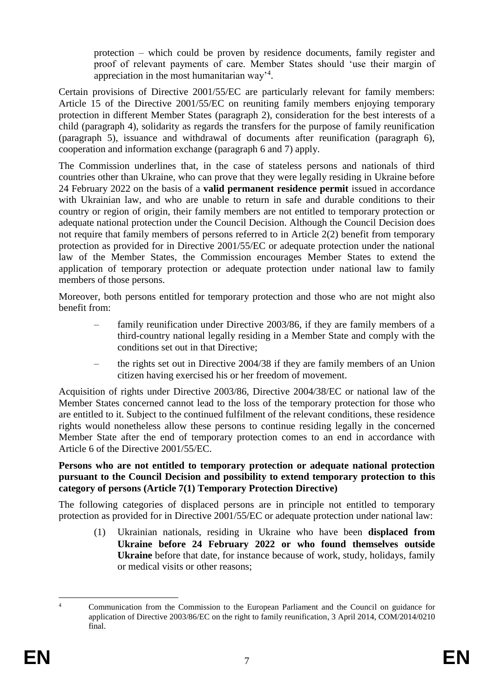protection – which could be proven by residence documents, family register and proof of relevant payments of care. Member States should 'use their margin of appreciation in the most humanitarian way'<sup>4</sup>.

Certain provisions of Directive 2001/55/EC are particularly relevant for family members: Article 15 of the Directive 2001/55/EC on reuniting family members enjoying temporary protection in different Member States (paragraph 2), consideration for the best interests of a child (paragraph 4), solidarity as regards the transfers for the purpose of family reunification (paragraph 5), issuance and withdrawal of documents after reunification (paragraph 6), cooperation and information exchange (paragraph 6 and 7) apply.

The Commission underlines that, in the case of stateless persons and nationals of third countries other than Ukraine, who can prove that they were legally residing in Ukraine before 24 February 2022 on the basis of a **valid permanent residence permit** issued in accordance with Ukrainian law, and who are unable to return in safe and durable conditions to their country or region of origin, their family members are not entitled to temporary protection or adequate national protection under the Council Decision. Although the Council Decision does not require that family members of persons referred to in Article 2(2) benefit from temporary protection as provided for in Directive 2001/55/EC or adequate protection under the national law of the Member States, the Commission encourages Member States to extend the application of temporary protection or adequate protection under national law to family members of those persons.

Moreover, both persons entitled for temporary protection and those who are not might also benefit from:

- family reunification under Directive 2003/86, if they are family members of a third-country national legally residing in a Member State and comply with the conditions set out in that Directive;
- the rights set out in Directive 2004/38 if they are family members of an Union citizen having exercised his or her freedom of movement.

Acquisition of rights under Directive 2003/86, Directive 2004/38/EC or national law of the Member States concerned cannot lead to the loss of the temporary protection for those who are entitled to it. Subject to the continued fulfilment of the relevant conditions, these residence rights would nonetheless allow these persons to continue residing legally in the concerned Member State after the end of temporary protection comes to an end in accordance with Article 6 of the Directive 2001/55/EC.

#### **Persons who are not entitled to temporary protection or adequate national protection pursuant to the Council Decision and possibility to extend temporary protection to this category of persons (Article 7(1) Temporary Protection Directive)**

The following categories of displaced persons are in principle not entitled to temporary protection as provided for in Directive 2001/55/EC or adequate protection under national law:

(1) Ukrainian nationals, residing in Ukraine who have been **displaced from Ukraine before 24 February 2022 or who found themselves outside Ukraine** before that date, for instance because of work, study, holidays, family or medical visits or other reasons;

<sup>1</sup> <sup>4</sup> Communication from the Commission to the European Parliament and the Council on guidance for application of Directive 2003/86/EC on the right to family reunification, 3 April 2014, COM/2014/0210 final.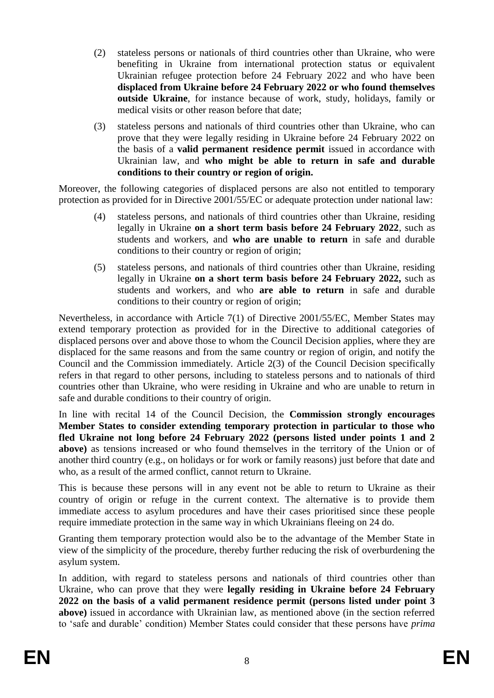- (2) stateless persons or nationals of third countries other than Ukraine, who were benefiting in Ukraine from international protection status or equivalent Ukrainian refugee protection before 24 February 2022 and who have been **displaced from Ukraine before 24 February 2022 or who found themselves outside Ukraine**, for instance because of work, study, holidays, family or medical visits or other reason before that date;
- (3) stateless persons and nationals of third countries other than Ukraine, who can prove that they were legally residing in Ukraine before 24 February 2022 on the basis of a **valid permanent residence permit** issued in accordance with Ukrainian law, and **who might be able to return in safe and durable conditions to their country or region of origin.**

Moreover, the following categories of displaced persons are also not entitled to temporary protection as provided for in Directive 2001/55/EC or adequate protection under national law:

- (4) stateless persons, and nationals of third countries other than Ukraine, residing legally in Ukraine **on a short term basis before 24 February 2022**, such as students and workers, and **who are unable to return** in safe and durable conditions to their country or region of origin;
- (5) stateless persons, and nationals of third countries other than Ukraine, residing legally in Ukraine **on a short term basis before 24 February 2022,** such as students and workers, and who **are able to return** in safe and durable conditions to their country or region of origin;

Nevertheless, in accordance with Article 7(1) of Directive 2001/55/EC, Member States may extend temporary protection as provided for in the Directive to additional categories of displaced persons over and above those to whom the Council Decision applies, where they are displaced for the same reasons and from the same country or region of origin, and notify the Council and the Commission immediately. Article 2(3) of the Council Decision specifically refers in that regard to other persons, including to stateless persons and to nationals of third countries other than Ukraine, who were residing in Ukraine and who are unable to return in safe and durable conditions to their country of origin.

In line with recital 14 of the Council Decision, the **Commission strongly encourages Member States to consider extending temporary protection in particular to those who fled Ukraine not long before 24 February 2022 (persons listed under points 1 and 2 above)** as tensions increased or who found themselves in the territory of the Union or of another third country (e.g., on holidays or for work or family reasons) just before that date and who, as a result of the armed conflict, cannot return to Ukraine.

This is because these persons will in any event not be able to return to Ukraine as their country of origin or refuge in the current context. The alternative is to provide them immediate access to asylum procedures and have their cases prioritised since these people require immediate protection in the same way in which Ukrainians fleeing on 24 do.

Granting them temporary protection would also be to the advantage of the Member State in view of the simplicity of the procedure, thereby further reducing the risk of overburdening the asylum system.

In addition, with regard to stateless persons and nationals of third countries other than Ukraine, who can prove that they were **legally residing in Ukraine before 24 February 2022 on the basis of a valid permanent residence permit (persons listed under point 3 above)** issued in accordance with Ukrainian law, as mentioned above (in the section referred to 'safe and durable' condition) Member States could consider that these persons have *prima*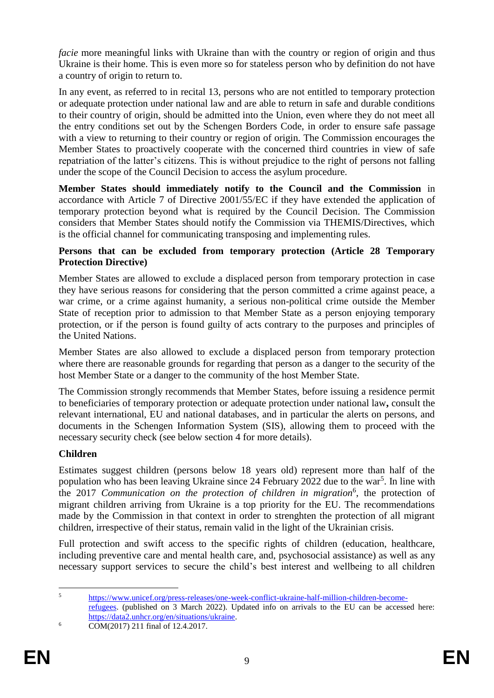*facie* more meaningful links with Ukraine than with the country or region of origin and thus Ukraine is their home. This is even more so for stateless person who by definition do not have a country of origin to return to.

In any event, as referred to in recital 13, persons who are not entitled to temporary protection or adequate protection under national law and are able to return in safe and durable conditions to their country of origin, should be admitted into the Union, even where they do not meet all the entry conditions set out by the Schengen Borders Code, in order to ensure safe passage with a view to returning to their country or region of origin. The Commission encourages the Member States to proactively cooperate with the concerned third countries in view of safe repatriation of the latter's citizens. This is without prejudice to the right of persons not falling under the scope of the Council Decision to access the asylum procedure.

**Member States should immediately notify to the Council and the Commission** in accordance with Article 7 of Directive 2001/55/EC if they have extended the application of temporary protection beyond what is required by the Council Decision. The Commission considers that Member States should notify the Commission via THEMIS/Directives, which is the official channel for communicating transposing and implementing rules.

### **Persons that can be excluded from temporary protection (Article 28 Temporary Protection Directive)**

Member States are allowed to exclude a displaced person from temporary protection in case they have serious reasons for considering that the person committed a crime against peace, a war crime, or a crime against humanity, a serious non-political crime outside the Member State of reception prior to admission to that Member State as a person enjoying temporary protection, or if the person is found guilty of acts contrary to the purposes and principles of the United Nations.

Member States are also allowed to exclude a displaced person from temporary protection where there are reasonable grounds for regarding that person as a danger to the security of the host Member State or a danger to the community of the host Member State.

The Commission strongly recommends that Member States, before issuing a residence permit to beneficiaries of temporary protection or adequate protection under national law**,** consult the relevant international, EU and national databases, and in particular the alerts on persons, and documents in the Schengen Information System (SIS), allowing them to proceed with the necessary security check (see below section 4 for more details).

# **Children**

Estimates suggest children (persons below 18 years old) represent more than half of the population who has been leaving Ukraine since 24 February 2022 due to the war<sup>5</sup>. In line with the 2017 Communication on the protection of children in migration<sup>6</sup>, the protection of migrant children arriving from Ukraine is a top priority for the EU. The recommendations made by the Commission in that context in order to strenghten the protection of all migrant children, irrespective of their status, remain valid in the light of the Ukrainian crisis.

Full protection and swift access to the specific rights of children (education, healthcare, including preventive care and mental health care, and, psychosocial assistance) as well as any necessary support services to secure the child's best interest and wellbeing to all children

 $\overline{5}$ <sup>5</sup> [https://www.unicef.org/press-releases/one-week-conflict-ukraine-half-million-children-become](https://www.unicef.org/press-releases/one-week-conflict-ukraine-half-million-children-become-refugees)[refugees.](https://www.unicef.org/press-releases/one-week-conflict-ukraine-half-million-children-become-refugees) (published on 3 March 2022). Updated info on arrivals to the EU can be accessed here: [https://data2.unhcr.org/en/situations/ukraine.](https://data2.unhcr.org/en/situations/ukraine)

 $6 \overline{COM(2017) \ 211 \ \text{final of} \ 12.4.2017.}$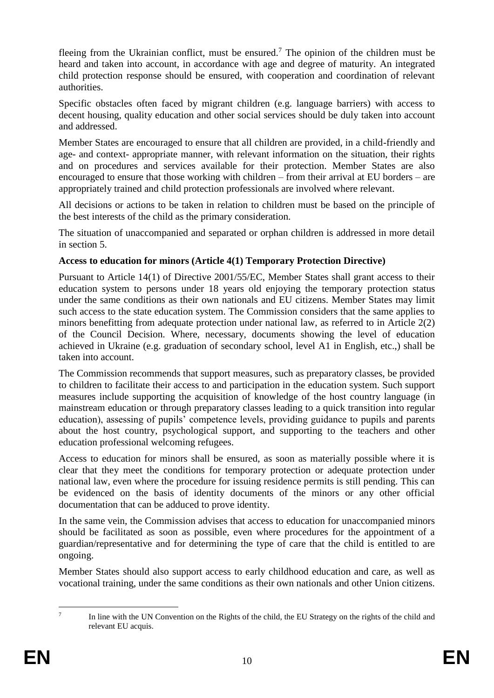fleeing from the Ukrainian conflict, must be ensured.<sup>7</sup> The opinion of the children must be heard and taken into account, in accordance with age and degree of maturity. An integrated child protection response should be ensured, with cooperation and coordination of relevant authorities.

Specific obstacles often faced by migrant children (e.g. language barriers) with access to decent housing, quality education and other social services should be duly taken into account and addressed.

Member States are encouraged to ensure that all children are provided, in a child-friendly and age- and context- appropriate manner, with relevant information on the situation, their rights and on procedures and services available for their protection. Member States are also encouraged to ensure that those working with children – from their arrival at EU borders – are appropriately trained and child protection professionals are involved where relevant.

All decisions or actions to be taken in relation to children must be based on the principle of the best interests of the child as the primary consideration.

The situation of unaccompanied and separated or orphan children is addressed in more detail in section 5.

# **Access to education for minors (Article 4(1) Temporary Protection Directive)**

Pursuant to Article 14(1) of Directive 2001/55/EC, Member States shall grant access to their education system to persons under 18 years old enjoying the temporary protection status under the same conditions as their own nationals and EU citizens. Member States may limit such access to the state education system. The Commission considers that the same applies to minors benefitting from adequate protection under national law, as referred to in Article 2(2) of the Council Decision. Where, necessary, documents showing the level of education achieved in Ukraine (e.g. graduation of secondary school, level A1 in English, etc.,) shall be taken into account.

The Commission recommends that support measures, such as preparatory classes, be provided to children to facilitate their access to and participation in the education system. Such support measures include supporting the acquisition of knowledge of the host country language (in mainstream education or through preparatory classes leading to a quick transition into regular education), assessing of pupils' competence levels, providing guidance to pupils and parents about the host country, psychological support, and supporting to the teachers and other education professional welcoming refugees.

Access to education for minors shall be ensured, as soon as materially possible where it is clear that they meet the conditions for temporary protection or adequate protection under national law, even where the procedure for issuing residence permits is still pending. This can be evidenced on the basis of identity documents of the minors or any other official documentation that can be adduced to prove identity.

In the same vein, the Commission advises that access to education for unaccompanied minors should be facilitated as soon as possible, even where procedures for the appointment of a guardian/representative and for determining the type of care that the child is entitled to are ongoing.

Member States should also support access to early childhood education and care, as well as vocational training, under the same conditions as their own nationals and other Union citizens.

 $\frac{1}{7}$ In line with the UN Convention on the Rights of the child, the EU Strategy on the rights of the child and relevant EU acquis.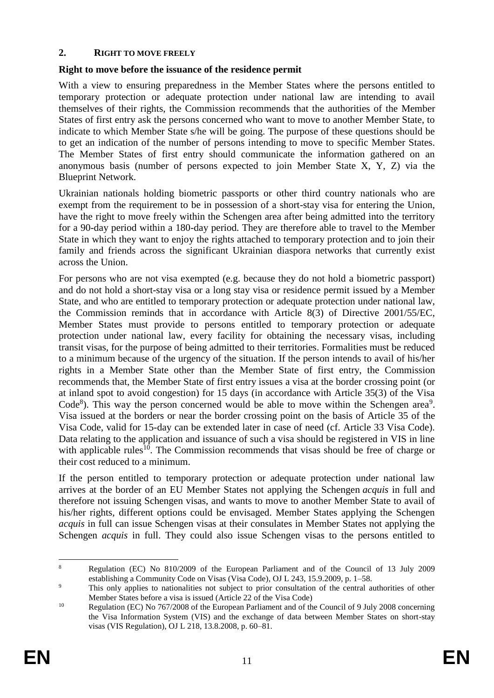### **2. RIGHT TO MOVE FREELY**

### **Right to move before the issuance of the residence permit**

With a view to ensuring preparedness in the Member States where the persons entitled to temporary protection or adequate protection under national law are intending to avail themselves of their rights, the Commission recommends that the authorities of the Member States of first entry ask the persons concerned who want to move to another Member State, to indicate to which Member State s/he will be going. The purpose of these questions should be to get an indication of the number of persons intending to move to specific Member States. The Member States of first entry should communicate the information gathered on an anonymous basis (number of persons expected to join Member State X, Y, Z) via the Blueprint Network.

Ukrainian nationals holding biometric passports or other third country nationals who are exempt from the requirement to be in possession of a short-stay visa for entering the Union, have the right to move freely within the Schengen area after being admitted into the territory for a 90-day period within a 180-day period. They are therefore able to travel to the Member State in which they want to enjoy the rights attached to temporary protection and to join their family and friends across the significant Ukrainian diaspora networks that currently exist across the Union.

For persons who are not visa exempted (e.g. because they do not hold a biometric passport) and do not hold a short-stay visa or a long stay visa or residence permit issued by a Member State, and who are entitled to temporary protection or adequate protection under national law, the Commission reminds that in accordance with Article 8(3) of Directive 2001/55/EC, Member States must provide to persons entitled to temporary protection or adequate protection under national law, every facility for obtaining the necessary visas, including transit visas, for the purpose of being admitted to their territories. Formalities must be reduced to a minimum because of the urgency of the situation. If the person intends to avail of his/her rights in a Member State other than the Member State of first entry, the Commission recommends that, the Member State of first entry issues a visa at the border crossing point (or at inland spot to avoid congestion) for 15 days (in accordance with Article 35(3) of the Visa Code<sup>8</sup>). This way the person concerned would be able to move within the Schengen area<sup>9</sup>. Visa issued at the borders or near the border crossing point on the basis of Article 35 of the Visa Code, valid for 15-day can be extended later in case of need (cf. Article 33 Visa Code). Data relating to the application and issuance of such a visa should be registered in VIS in line with applicable rules<sup>10</sup>. The Commission recommends that visas should be free of charge or their cost reduced to a minimum.

If the person entitled to temporary protection or adequate protection under national law arrives at the border of an EU Member States not applying the Schengen *acquis* in full and therefore not issuing Schengen visas, and wants to move to another Member State to avail of his/her rights, different options could be envisaged. Member States applying the Schengen *acquis* in full can issue Schengen visas at their consulates in Member States not applying the Schengen *acquis* in full. They could also issue Schengen visas to the persons entitled to

<sup>1</sup> <sup>8</sup> Regulation (EC) No 810/2009 of the European Parliament and of the Council of 13 July 2009 establishing a Community Code on Visas (Visa Code), OJ L 243, 15.9.2009, p. 1–58.

<sup>&</sup>lt;sup>9</sup> This only applies to nationalities not subject to prior consultation of the central authorities of other Member States before a visa is issued (Article 22 of the Visa Code)

<sup>&</sup>lt;sup>10</sup> Regulation (EC) No 767/2008 of the European Parliament and of the Council of 9 July 2008 concerning the Visa Information System (VIS) and the exchange of data between Member States on short-stay visas (VIS Regulation), OJ L 218, 13.8.2008, p. 60–81.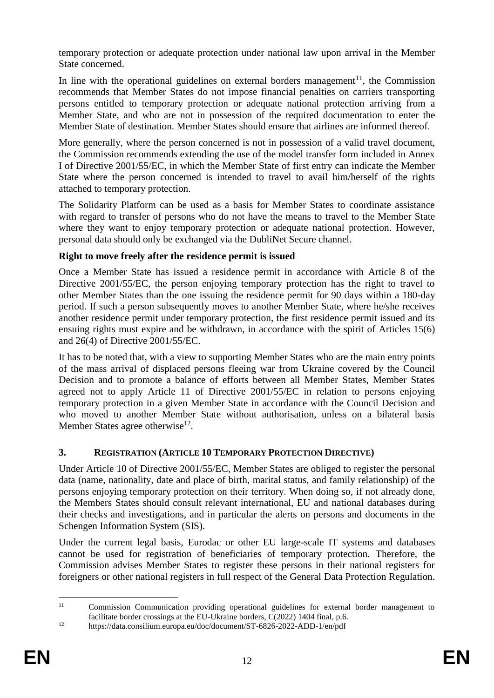temporary protection or adequate protection under national law upon arrival in the Member State concerned.

In line with the operational guidelines on external borders management<sup>11</sup>, the Commission recommends that Member States do not impose financial penalties on carriers transporting persons entitled to temporary protection or adequate national protection arriving from a Member State, and who are not in possession of the required documentation to enter the Member State of destination. Member States should ensure that airlines are informed thereof.

More generally, where the person concerned is not in possession of a valid travel document, the Commission recommends extending the use of the model transfer form included in Annex I of Directive 2001/55/EC, in which the Member State of first entry can indicate the Member State where the person concerned is intended to travel to avail him/herself of the rights attached to temporary protection.

The Solidarity Platform can be used as a basis for Member States to coordinate assistance with regard to transfer of persons who do not have the means to travel to the Member State where they want to enjoy temporary protection or adequate national protection. However, personal data should only be exchanged via the DubliNet Secure channel.

# **Right to move freely after the residence permit is issued**

Once a Member State has issued a residence permit in accordance with Article 8 of the Directive 2001/55/EC, the person enjoying temporary protection has the right to travel to other Member States than the one issuing the residence permit for 90 days within a 180-day period. If such a person subsequently moves to another Member State, where he/she receives another residence permit under temporary protection, the first residence permit issued and its ensuing rights must expire and be withdrawn, in accordance with the spirit of Articles 15(6) and 26(4) of Directive 2001/55/EC.

It has to be noted that, with a view to supporting Member States who are the main entry points of the mass arrival of displaced persons fleeing war from Ukraine covered by the Council Decision and to promote a balance of efforts between all Member States, Member States agreed not to apply Article 11 of Directive 2001/55/EC in relation to persons enjoying temporary protection in a given Member State in accordance with the Council Decision and who moved to another Member State without authorisation, unless on a bilateral basis Member States agree otherwise<sup>12</sup>.

# **3. REGISTRATION (ARTICLE 10 TEMPORARY PROTECTION DIRECTIVE)**

Under Article 10 of Directive 2001/55/EC, Member States are obliged to register the personal data (name, nationality, date and place of birth, marital status, and family relationship) of the persons enjoying temporary protection on their territory. When doing so, if not already done, the Members States should consult relevant international, EU and national databases during their checks and investigations, and in particular the alerts on persons and documents in the Schengen Information System (SIS).

Under the current legal basis, Eurodac or other EU large-scale IT systems and databases cannot be used for registration of beneficiaries of temporary protection. Therefore, the Commission advises Member States to register these persons in their national registers for foreigners or other national registers in full respect of the General Data Protection Regulation.

 $11$ Commission Communication providing operational guidelines for external border management to facilitate border crossings at the EU-Ukraine borders, C(2022) 1404 final, p.6.

<sup>12</sup> https://data.consilium.europa.eu/doc/document/ST-6826-2022-ADD-1/en/pdf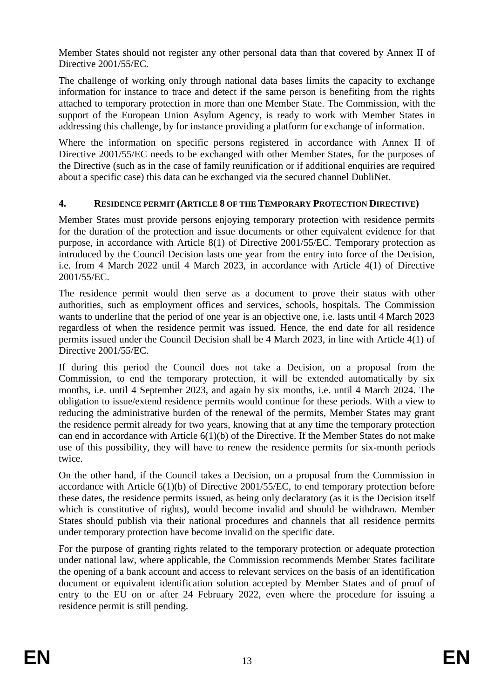Member States should not register any other personal data than that covered by Annex II of Directive 2001/55/EC.

The challenge of working only through national data bases limits the capacity to exchange information for instance to trace and detect if the same person is benefiting from the rights attached to temporary protection in more than one Member State. The Commission, with the support of the European Union Asylum Agency, is ready to work with Member States in addressing this challenge, by for instance providing a platform for exchange of information.

Where the information on specific persons registered in accordance with Annex II of Directive 2001/55/EC needs to be exchanged with other Member States, for the purposes of the Directive (such as in the case of family reunification or if additional enquiries are required about a specific case) this data can be exchanged via the secured channel DubliNet.

### **4. RESIDENCE PERMIT (ARTICLE 8 OF THE TEMPORARY PROTECTION DIRECTIVE)**

Member States must provide persons enjoying temporary protection with residence permits for the duration of the protection and issue documents or other equivalent evidence for that purpose, in accordance with Article 8(1) of Directive 2001/55/EC. Temporary protection as introduced by the Council Decision lasts one year from the entry into force of the Decision, i.e. from 4 March 2022 until 4 March 2023, in accordance with Article 4(1) of Directive 2001/55/EC.

The residence permit would then serve as a document to prove their status with other authorities, such as employment offices and services, schools, hospitals. The Commission wants to underline that the period of one year is an objective one, i.e. lasts until 4 March 2023 regardless of when the residence permit was issued. Hence, the end date for all residence permits issued under the Council Decision shall be 4 March 2023, in line with Article 4(1) of Directive 2001/55/EC.

If during this period the Council does not take a Decision, on a proposal from the Commission, to end the temporary protection, it will be extended automatically by six months, i.e. until 4 September 2023, and again by six months, i.e. until 4 March 2024. The obligation to issue/extend residence permits would continue for these periods. With a view to reducing the administrative burden of the renewal of the permits, Member States may grant the residence permit already for two years, knowing that at any time the temporary protection can end in accordance with Article 6(1)(b) of the Directive. If the Member States do not make use of this possibility, they will have to renew the residence permits for six-month periods twice.

On the other hand, if the Council takes a Decision, on a proposal from the Commission in accordance with Article 6(1)(b) of Directive 2001/55/EC, to end temporary protection before these dates, the residence permits issued, as being only declaratory (as it is the Decision itself which is constitutive of rights), would become invalid and should be withdrawn. Member States should publish via their national procedures and channels that all residence permits under temporary protection have become invalid on the specific date.

For the purpose of granting rights related to the temporary protection or adequate protection under national law, where applicable, the Commission recommends Member States facilitate the opening of a bank account and access to relevant services on the basis of an identification document or equivalent identification solution accepted by Member States and of proof of entry to the EU on or after 24 February 2022, even where the procedure for issuing a residence permit is still pending.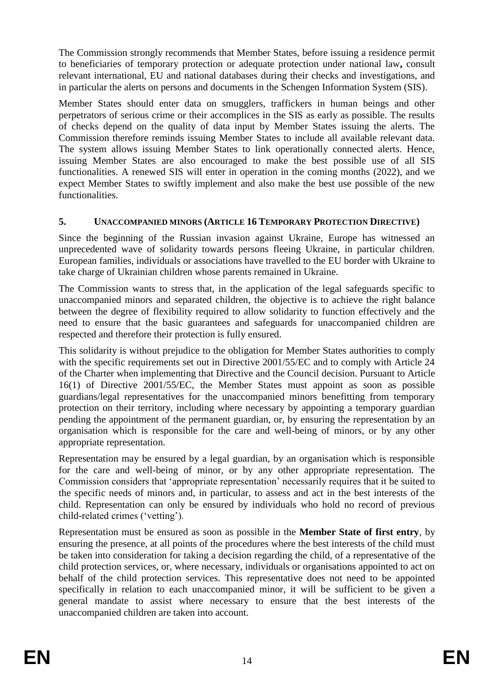The Commission strongly recommends that Member States, before issuing a residence permit to beneficiaries of temporary protection or adequate protection under national law**,** consult relevant international, EU and national databases during their checks and investigations, and in particular the alerts on persons and documents in the Schengen Information System (SIS).

Member States should enter data on smugglers, traffickers in human beings and other perpetrators of serious crime or their accomplices in the SIS as early as possible. The results of checks depend on the quality of data input by Member States issuing the alerts. The Commission therefore reminds issuing Member States to include all available relevant data. The system allows issuing Member States to link operationally connected alerts. Hence, issuing Member States are also encouraged to make the best possible use of all SIS functionalities. A renewed SIS will enter in operation in the coming months (2022), and we expect Member States to swiftly implement and also make the best use possible of the new functionalities.

# **5. UNACCOMPANIED MINORS (ARTICLE 16 TEMPORARY PROTECTION DIRECTIVE)**

Since the beginning of the Russian invasion against Ukraine, Europe has witnessed an unprecedented wave of solidarity towards persons fleeing Ukraine, in particular children. European families, individuals or associations have travelled to the EU border with Ukraine to take charge of Ukrainian children whose parents remained in Ukraine.

The Commission wants to stress that, in the application of the legal safeguards specific to unaccompanied minors and separated children, the objective is to achieve the right balance between the degree of flexibility required to allow solidarity to function effectively and the need to ensure that the basic guarantees and safeguards for unaccompanied children are respected and therefore their protection is fully ensured.

This solidarity is without prejudice to the obligation for Member States authorities to comply with the specific requirements set out in Directive 2001/55/EC and to comply with Article 24 of the Charter when implementing that Directive and the Council decision. Pursuant to Article 16(1) of Directive 2001/55/EC, the Member States must appoint as soon as possible guardians/legal representatives for the unaccompanied minors benefitting from temporary protection on their territory, including where necessary by appointing a temporary guardian pending the appointment of the permanent guardian, or, by ensuring the representation by an organisation which is responsible for the care and well-being of minors, or by any other appropriate representation.

Representation may be ensured by a legal guardian, by an organisation which is responsible for the care and well-being of minor, or by any other appropriate representation. The Commission considers that 'appropriate representation' necessarily requires that it be suited to the specific needs of minors and, in particular, to assess and act in the best interests of the child. Representation can only be ensured by individuals who hold no record of previous child-related crimes ('vetting').

Representation must be ensured as soon as possible in the **Member State of first entry**, by ensuring the presence, at all points of the procedures where the best interests of the child must be taken into consideration for taking a decision regarding the child, of a representative of the child protection services, or, where necessary, individuals or organisations appointed to act on behalf of the child protection services. This representative does not need to be appointed specifically in relation to each unaccompanied minor, it will be sufficient to be given a general mandate to assist where necessary to ensure that the best interests of the unaccompanied children are taken into account.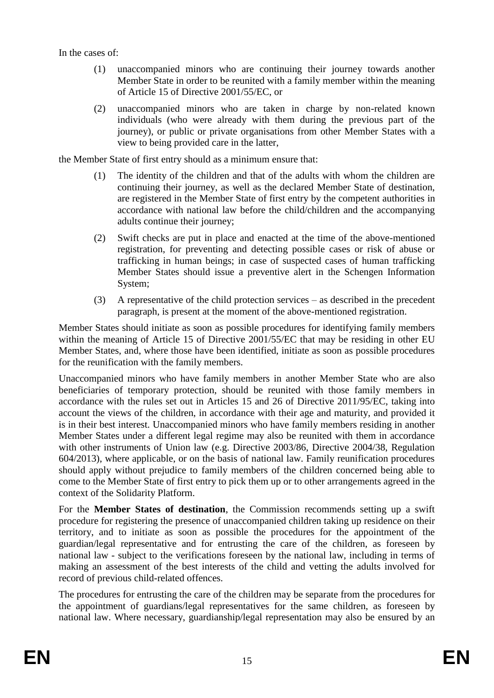In the cases of:

- (1) unaccompanied minors who are continuing their journey towards another Member State in order to be reunited with a family member within the meaning of Article 15 of Directive 2001/55/EC, or
- (2) unaccompanied minors who are taken in charge by non-related known individuals (who were already with them during the previous part of the journey), or public or private organisations from other Member States with a view to being provided care in the latter,

the Member State of first entry should as a minimum ensure that:

- (1) The identity of the children and that of the adults with whom the children are continuing their journey, as well as the declared Member State of destination, are registered in the Member State of first entry by the competent authorities in accordance with national law before the child/children and the accompanying adults continue their journey;
- (2) Swift checks are put in place and enacted at the time of the above-mentioned registration, for preventing and detecting possible cases or risk of abuse or trafficking in human beings; in case of suspected cases of human trafficking Member States should issue a preventive alert in the Schengen Information System;
- (3) A representative of the child protection services as described in the precedent paragraph, is present at the moment of the above-mentioned registration.

Member States should initiate as soon as possible procedures for identifying family members within the meaning of Article 15 of Directive 2001/55/EC that may be residing in other EU Member States, and, where those have been identified, initiate as soon as possible procedures for the reunification with the family members.

Unaccompanied minors who have family members in another Member State who are also beneficiaries of temporary protection, should be reunited with those family members in accordance with the rules set out in Articles 15 and 26 of Directive 2011/95/EC, taking into account the views of the children, in accordance with their age and maturity, and provided it is in their best interest. Unaccompanied minors who have family members residing in another Member States under a different legal regime may also be reunited with them in accordance with other instruments of Union law (e.g. Directive 2003/86, Directive 2004/38, Regulation 604/2013), where applicable, or on the basis of national law. Family reunification procedures should apply without prejudice to family members of the children concerned being able to come to the Member State of first entry to pick them up or to other arrangements agreed in the context of the Solidarity Platform.

For the **Member States of destination**, the Commission recommends setting up a swift procedure for registering the presence of unaccompanied children taking up residence on their territory, and to initiate as soon as possible the procedures for the appointment of the guardian/legal representative and for entrusting the care of the children, as foreseen by national law - subject to the verifications foreseen by the national law, including in terms of making an assessment of the best interests of the child and vetting the adults involved for record of previous child-related offences.

The procedures for entrusting the care of the children may be separate from the procedures for the appointment of guardians/legal representatives for the same children, as foreseen by national law. Where necessary, guardianship/legal representation may also be ensured by an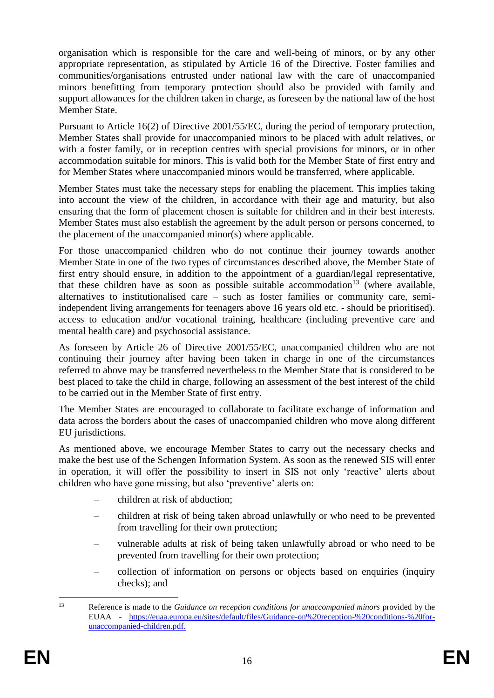organisation which is responsible for the care and well-being of minors, or by any other appropriate representation, as stipulated by Article 16 of the Directive. Foster families and communities/organisations entrusted under national law with the care of unaccompanied minors benefitting from temporary protection should also be provided with family and support allowances for the children taken in charge, as foreseen by the national law of the host Member State.

Pursuant to Article 16(2) of Directive 2001/55/EC, during the period of temporary protection, Member States shall provide for unaccompanied minors to be placed with adult relatives, or with a foster family, or in reception centres with special provisions for minors, or in other accommodation suitable for minors. This is valid both for the Member State of first entry and for Member States where unaccompanied minors would be transferred, where applicable.

Member States must take the necessary steps for enabling the placement. This implies taking into account the view of the children, in accordance with their age and maturity, but also ensuring that the form of placement chosen is suitable for children and in their best interests. Member States must also establish the agreement by the adult person or persons concerned, to the placement of the unaccompanied minor(s) where applicable.

For those unaccompanied children who do not continue their journey towards another Member State in one of the two types of circumstances described above, the Member State of first entry should ensure, in addition to the appointment of a guardian/legal representative, that these children have as soon as possible suitable accommodation<sup>13</sup> (where available, alternatives to institutionalised care – such as foster families or community care, semiindependent living arrangements for teenagers above 16 years old etc. - should be prioritised). access to education and/or vocational training, healthcare (including preventive care and mental health care) and psychosocial assistance.

As foreseen by Article 26 of Directive 2001/55/EC, unaccompanied children who are not continuing their journey after having been taken in charge in one of the circumstances referred to above may be transferred nevertheless to the Member State that is considered to be best placed to take the child in charge, following an assessment of the best interest of the child to be carried out in the Member State of first entry.

The Member States are encouraged to collaborate to facilitate exchange of information and data across the borders about the cases of unaccompanied children who move along different EU jurisdictions.

As mentioned above, we encourage Member States to carry out the necessary checks and make the best use of the Schengen Information System. As soon as the renewed SIS will enter in operation, it will offer the possibility to insert in SIS not only 'reactive' alerts about children who have gone missing, but also 'preventive' alerts on:

- children at risk of abduction;
- children at risk of being taken abroad unlawfully or who need to be prevented from travelling for their own protection;
- vulnerable adults at risk of being taken unlawfully abroad or who need to be prevented from travelling for their own protection;
- collection of information on persons or objects based on enquiries (inquiry checks); and

1

<sup>13</sup> Reference is made to the *Guidance on reception conditions for unaccompanied minors* provided by the EUAA - [https://euaa.europa.eu/sites/default/files/Guidance-on%20reception-%20conditions-%20for](https://euaa.europa.eu/sites/default/files/Guidance-on%20reception-%20conditions-%20for-unaccompanied-children.pdf)[unaccompanied-children.pdf.](https://euaa.europa.eu/sites/default/files/Guidance-on%20reception-%20conditions-%20for-unaccompanied-children.pdf)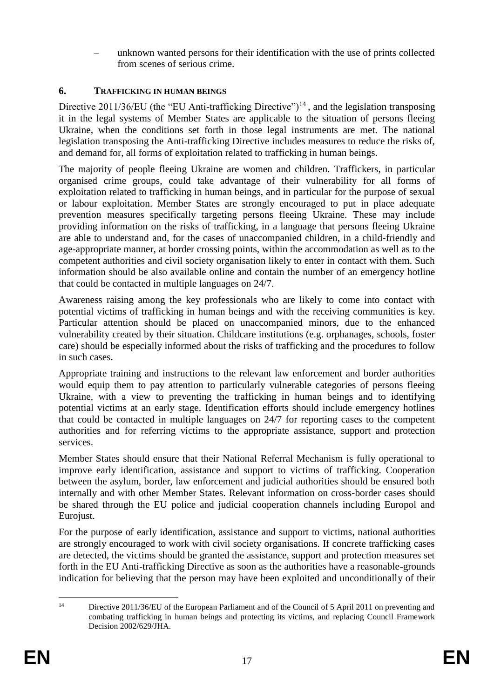– unknown wanted persons for their identification with the use of prints collected from scenes of serious crime.

# **6. TRAFFICKING IN HUMAN BEINGS**

Directive 2011/36/EU (the "EU Anti-trafficking Directive")<sup>14</sup>, and the legislation transposing it in the legal systems of Member States are applicable to the situation of persons fleeing Ukraine, when the conditions set forth in those legal instruments are met. The national legislation transposing the Anti-trafficking Directive includes measures to reduce the risks of, and demand for, all forms of exploitation related to trafficking in human beings.

The majority of people fleeing Ukraine are women and children. Traffickers, in particular organised crime groups, could take advantage of their vulnerability for all forms of exploitation related to trafficking in human beings, and in particular for the purpose of sexual or labour exploitation. Member States are strongly encouraged to put in place adequate prevention measures specifically targeting persons fleeing Ukraine. These may include providing information on the risks of trafficking, in a language that persons fleeing Ukraine are able to understand and, for the cases of unaccompanied children, in a child-friendly and age-appropriate manner, at border crossing points, within the accommodation as well as to the competent authorities and civil society organisation likely to enter in contact with them. Such information should be also available online and contain the number of an emergency hotline that could be contacted in multiple languages on 24/7.

Awareness raising among the key professionals who are likely to come into contact with potential victims of trafficking in human beings and with the receiving communities is key. Particular attention should be placed on unaccompanied minors, due to the enhanced vulnerability created by their situation. Childcare institutions (e.g. orphanages, schools, foster care) should be especially informed about the risks of trafficking and the procedures to follow in such cases.

Appropriate training and instructions to the relevant law enforcement and border authorities would equip them to pay attention to particularly vulnerable categories of persons fleeing Ukraine, with a view to preventing the trafficking in human beings and to identifying potential victims at an early stage. Identification efforts should include emergency hotlines that could be contacted in multiple languages on 24/7 for reporting cases to the competent authorities and for referring victims to the appropriate assistance, support and protection services.

Member States should ensure that their National Referral Mechanism is fully operational to improve early identification, assistance and support to victims of trafficking. Cooperation between the asylum, border, law enforcement and judicial authorities should be ensured both internally and with other Member States. Relevant information on cross-border cases should be shared through the EU police and judicial cooperation channels including Europol and Eurojust.

For the purpose of early identification, assistance and support to victims, national authorities are strongly encouraged to work with civil society organisations. If concrete trafficking cases are detected, the victims should be granted the assistance, support and protection measures set forth in the EU Anti-trafficking Directive as soon as the authorities have a reasonable-grounds indication for believing that the person may have been exploited and unconditionally of their

 $14$ Directive 2011/36/EU of the European Parliament and of the Council of 5 April 2011 on preventing and combating trafficking in human beings and protecting its victims, and replacing Council Framework Decision 2002/629/JHA.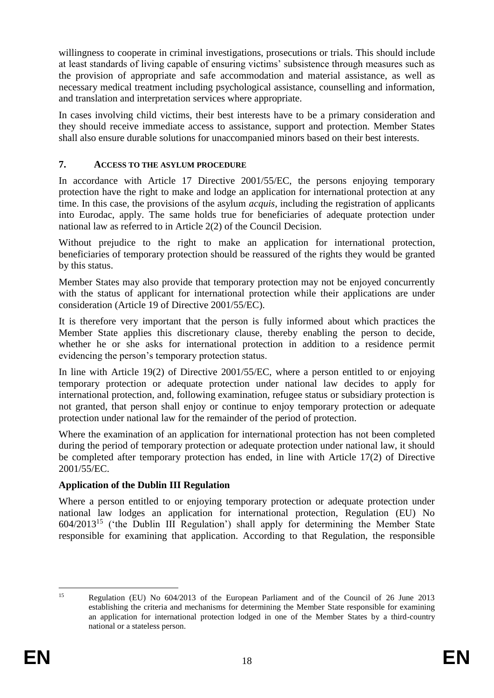willingness to cooperate in criminal investigations, prosecutions or trials. This should include at least standards of living capable of ensuring victims' subsistence through measures such as the provision of appropriate and safe accommodation and material assistance, as well as necessary medical treatment including psychological assistance, counselling and information, and translation and interpretation services where appropriate.

In cases involving child victims, their best interests have to be a primary consideration and they should receive immediate access to assistance, support and protection. Member States shall also ensure durable solutions for unaccompanied minors based on their best interests.

# **7. ACCESS TO THE ASYLUM PROCEDURE**

In accordance with Article 17 Directive 2001/55/EC, the persons enjoying temporary protection have the right to make and lodge an application for international protection at any time. In this case, the provisions of the asylum *acquis*, including the registration of applicants into Eurodac, apply. The same holds true for beneficiaries of adequate protection under national law as referred to in Article 2(2) of the Council Decision.

Without prejudice to the right to make an application for international protection, beneficiaries of temporary protection should be reassured of the rights they would be granted by this status.

Member States may also provide that temporary protection may not be enjoyed concurrently with the status of applicant for international protection while their applications are under consideration (Article 19 of Directive 2001/55/EC).

It is therefore very important that the person is fully informed about which practices the Member State applies this discretionary clause, thereby enabling the person to decide, whether he or she asks for international protection in addition to a residence permit evidencing the person's temporary protection status.

In line with Article 19(2) of Directive 2001/55/EC, where a person entitled to or enjoying temporary protection or adequate protection under national law decides to apply for international protection, and, following examination, refugee status or subsidiary protection is not granted, that person shall enjoy or continue to enjoy temporary protection or adequate protection under national law for the remainder of the period of protection.

Where the examination of an application for international protection has not been completed during the period of temporary protection or adequate protection under national law, it should be completed after temporary protection has ended, in line with Article 17(2) of Directive 2001/55/EC.

# **Application of the Dublin III Regulation**

Where a person entitled to or enjoying temporary protection or adequate protection under national law lodges an application for international protection, Regulation (EU) No  $604/2013^{15}$  ('the Dublin III Regulation') shall apply for determining the Member State responsible for examining that application. According to that Regulation, the responsible

 $15$ <sup>15</sup> Regulation (EU) No 604/2013 of the European Parliament and of the Council of 26 June 2013 establishing the criteria and mechanisms for determining the Member State responsible for examining an application for international protection lodged in one of the Member States by a third-country national or a stateless person.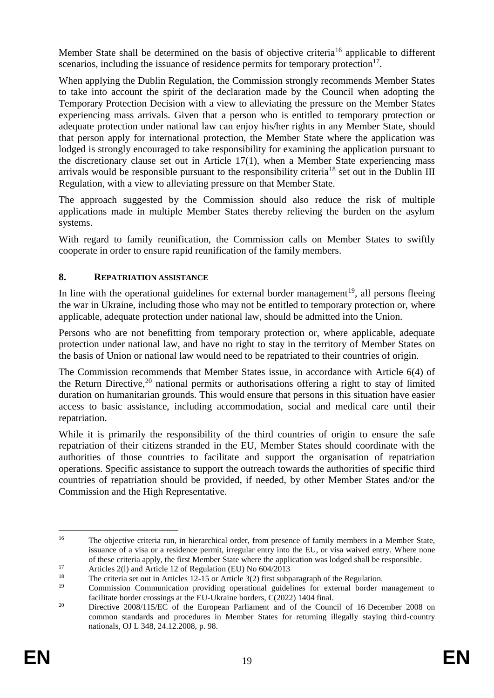Member State shall be determined on the basis of objective criteria<sup>16</sup> applicable to different scenarios, including the issuance of residence permits for temporary protection $17$ .

When applying the Dublin Regulation, the Commission strongly recommends Member States to take into account the spirit of the declaration made by the Council when adopting the Temporary Protection Decision with a view to alleviating the pressure on the Member States experiencing mass arrivals. Given that a person who is entitled to temporary protection or adequate protection under national law can enjoy his/her rights in any Member State, should that person apply for international protection, the Member State where the application was lodged is strongly encouraged to take responsibility for examining the application pursuant to the discretionary clause set out in Article 17(1), when a Member State experiencing mass arrivals would be responsible pursuant to the responsibility criteria<sup>18</sup> set out in the Dublin III Regulation, with a view to alleviating pressure on that Member State.

The approach suggested by the Commission should also reduce the risk of multiple applications made in multiple Member States thereby relieving the burden on the asylum systems.

With regard to family reunification, the Commission calls on Member States to swiftly cooperate in order to ensure rapid reunification of the family members.

# **8. REPATRIATION ASSISTANCE**

In line with the operational guidelines for external border management<sup>19</sup>, all persons fleeing the war in Ukraine, including those who may not be entitled to temporary protection or, where applicable, adequate protection under national law, should be admitted into the Union.

Persons who are not benefitting from temporary protection or, where applicable, adequate protection under national law, and have no right to stay in the territory of Member States on the basis of Union or national law would need to be repatriated to their countries of origin.

The Commission recommends that Member States issue, in accordance with Article 6(4) of the Return Directive,<sup>20</sup> national permits or authorisations offering a right to stay of limited duration on humanitarian grounds. This would ensure that persons in this situation have easier access to basic assistance, including accommodation, social and medical care until their repatriation.

While it is primarily the responsibility of the third countries of origin to ensure the safe repatriation of their citizens stranded in the EU, Member States should coordinate with the authorities of those countries to facilitate and support the organisation of repatriation operations. Specific assistance to support the outreach towards the authorities of specific third countries of repatriation should be provided, if needed, by other Member States and/or the Commission and the High Representative.

 $16\,$ <sup>16</sup> The objective criteria run, in hierarchical order, from presence of family members in a Member State, issuance of a visa or a residence permit, irregular entry into the EU, or visa waived entry. Where none of these criteria apply, the first Member State where the application was lodged shall be responsible.

<sup>&</sup>lt;sup>17</sup> Articles 2(1) and Article 12 of Regulation (EU) No  $604/2013$ <br><sup>18</sup> The criteria set out in Articles 12-15 or Article 3(2) first subp

<sup>&</sup>lt;sup>18</sup> The criteria set out in Articles 12-15 or Article 3(2) first subparagraph of the Regulation.<br>
Commission Communication providing operational quidelines for external border n

<sup>19</sup> Commission Communication providing operational guidelines for external border management to facilitate border crossings at the EU-Ukraine borders, C(2022) 1404 final.

<sup>&</sup>lt;sup>20</sup> Directive 2008/115/EC of the European Parliament and of the Council of 16 December 2008 on common standards and procedures in Member States for returning illegally staying third-country nationals, OJ L 348, 24.12.2008, p. 98.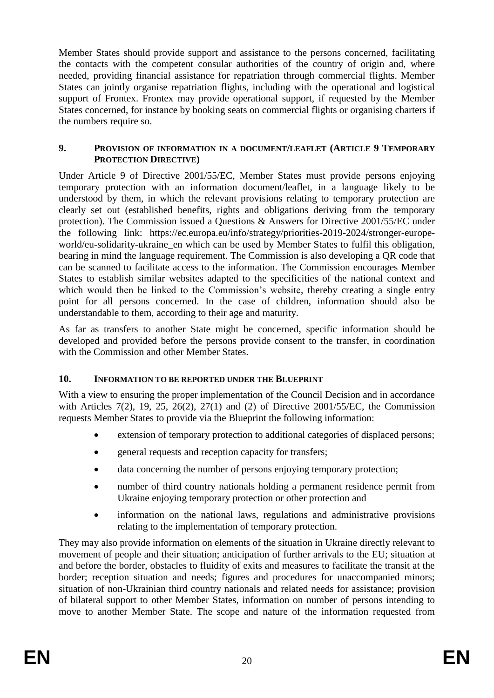Member States should provide support and assistance to the persons concerned, facilitating the contacts with the competent consular authorities of the country of origin and, where needed, providing financial assistance for repatriation through commercial flights. Member States can jointly organise repatriation flights, including with the operational and logistical support of Frontex. Frontex may provide operational support, if requested by the Member States concerned, for instance by booking seats on commercial flights or organising charters if the numbers require so.

#### **9. PROVISION OF INFORMATION IN A DOCUMENT/LEAFLET (ARTICLE 9 TEMPORARY PROTECTION DIRECTIVE)**

Under Article 9 of Directive 2001/55/EC, Member States must provide persons enjoying temporary protection with an information document/leaflet, in a language likely to be understood by them, in which the relevant provisions relating to temporary protection are clearly set out (established benefits, rights and obligations deriving from the temporary protection). The Commission issued a Questions & Answers for Directive 2001/55/EC under the following link: [https://ec.europa.eu/info/strategy/priorities-2019-2024/stronger-europe](https://ec.europa.eu/info/strategy/priorities-2019-2024/stronger-europe-world/eu-solidarity-ukraine_en)world/eu-solidarity-ukraine en which can be used by Member States to fulfil this obligation, bearing in mind the language requirement. The Commission is also developing a QR code that can be scanned to facilitate access to the information. The Commission encourages Member States to establish similar websites adapted to the specificities of the national context and which would then be linked to the Commission's website, thereby creating a single entry point for all persons concerned. In the case of children, information should also be understandable to them, according to their age and maturity.

As far as transfers to another State might be concerned, specific information should be developed and provided before the persons provide consent to the transfer, in coordination with the Commission and other Member States.

# **10. INFORMATION TO BE REPORTED UNDER THE BLUEPRINT**

With a view to ensuring the proper implementation of the Council Decision and in accordance with Articles 7(2), 19, 25, 26(2), 27(1) and (2) of Directive 2001/55/EC, the Commission requests Member States to provide via the Blueprint the following information:

- extension of temporary protection to additional categories of displaced persons;
- general requests and reception capacity for transfers;
- data concerning the number of persons enjoying temporary protection;
- number of third country nationals holding a permanent residence permit from Ukraine enjoying temporary protection or other protection and
- information on the national laws, regulations and administrative provisions relating to the implementation of temporary protection.

They may also provide information on elements of the situation in Ukraine directly relevant to movement of people and their situation; anticipation of further arrivals to the EU; situation at and before the border, obstacles to fluidity of exits and measures to facilitate the transit at the border; reception situation and needs; figures and procedures for unaccompanied minors; situation of non-Ukrainian third country nationals and related needs for assistance; provision of bilateral support to other Member States, information on number of persons intending to move to another Member State. The scope and nature of the information requested from